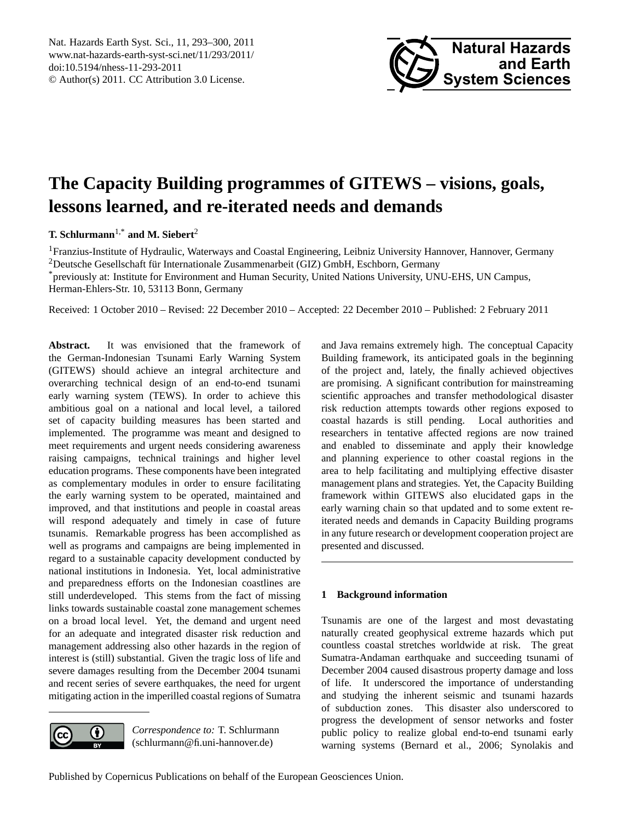<span id="page-0-0"></span>Nat. Hazards Earth Syst. Sci., 11, 293–300, 2011 www.nat-hazards-earth-syst-sci.net/11/293/2011/ doi:10.5194/nhess-11-293-2011 © Author(s) 2011. CC Attribution 3.0 License.



# **The Capacity Building programmes of GITEWS – visions, goals, lessons learned, and re-iterated needs and demands**

# **T. Schlurmann**1,\* **and M. Siebert**<sup>2</sup>

<sup>1</sup>Franzius-Institute of Hydraulic, Waterways and Coastal Engineering, Leibniz University Hannover, Hannover, Germany <sup>2</sup>Deutsche Gesellschaft für Internationale Zusammenarbeit (GIZ) GmbH, Eschborn, Germany \*previously at: Institute for Environment and Human Security, United Nations University, UNU-EHS, UN Campus, Herman-Ehlers-Str. 10, 53113 Bonn, Germany

Received: 1 October 2010 – Revised: 22 December 2010 – Accepted: 22 December 2010 – Published: 2 February 2011

**Abstract.** It was envisioned that the framework of the German-Indonesian Tsunami Early Warning System (GITEWS) should achieve an integral architecture and overarching technical design of an end-to-end tsunami early warning system (TEWS). In order to achieve this ambitious goal on a national and local level, a tailored set of capacity building measures has been started and implemented. The programme was meant and designed to meet requirements and urgent needs considering awareness raising campaigns, technical trainings and higher level education programs. These components have been integrated as complementary modules in order to ensure facilitating the early warning system to be operated, maintained and improved, and that institutions and people in coastal areas will respond adequately and timely in case of future tsunamis. Remarkable progress has been accomplished as well as programs and campaigns are being implemented in regard to a sustainable capacity development conducted by national institutions in Indonesia. Yet, local administrative and preparedness efforts on the Indonesian coastlines are still underdeveloped. This stems from the fact of missing links towards sustainable coastal zone management schemes on a broad local level. Yet, the demand and urgent need for an adequate and integrated disaster risk reduction and management addressing also other hazards in the region of interest is (still) substantial. Given the tragic loss of life and severe damages resulting from the December 2004 tsunami and recent series of severe earthquakes, the need for urgent mitigating action in the imperilled coastal regions of Sumatra



*Correspondence to:* T. Schlurmann (schlurmann@fi.uni-hannover.de)

and Java remains extremely high. The conceptual Capacity Building framework, its anticipated goals in the beginning of the project and, lately, the finally achieved objectives are promising. A significant contribution for mainstreaming scientific approaches and transfer methodological disaster risk reduction attempts towards other regions exposed to coastal hazards is still pending. Local authorities and researchers in tentative affected regions are now trained and enabled to disseminate and apply their knowledge and planning experience to other coastal regions in the area to help facilitating and multiplying effective disaster management plans and strategies. Yet, the Capacity Building framework within GITEWS also elucidated gaps in the early warning chain so that updated and to some extent reiterated needs and demands in Capacity Building programs in any future research or development cooperation project are presented and discussed.

### **1 Background information**

Tsunamis are one of the largest and most devastating naturally created geophysical extreme hazards which put countless coastal stretches worldwide at risk. The great Sumatra-Andaman earthquake and succeeding tsunami of December 2004 caused disastrous property damage and loss of life. It underscored the importance of understanding and studying the inherent seismic and tsunami hazards of subduction zones. This disaster also underscored to progress the development of sensor networks and foster public policy to realize global end-to-end tsunami early warning systems (Bernard et al., 2006; Synolakis and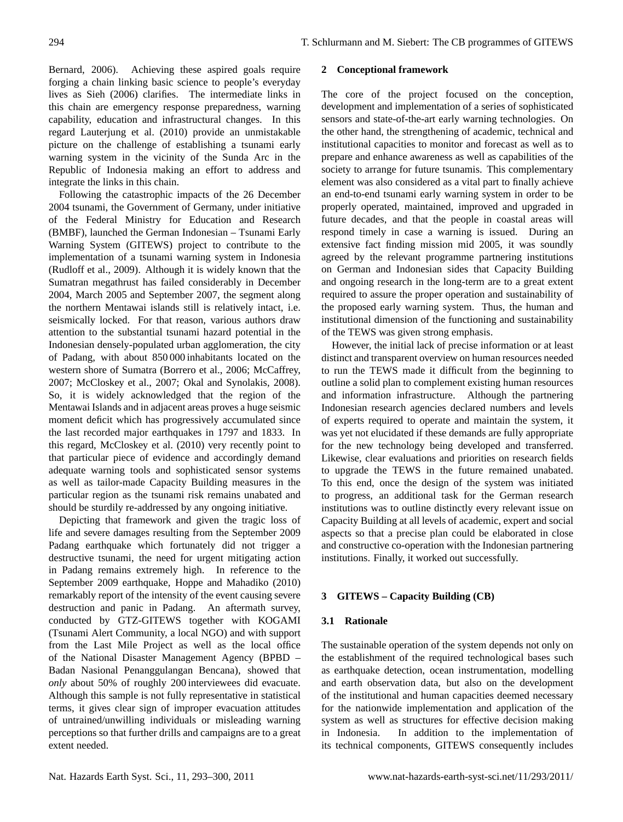Bernard, 2006). Achieving these aspired goals require forging a chain linking basic science to people's everyday lives as Sieh (2006) clarifies. The intermediate links in this chain are emergency response preparedness, warning capability, education and infrastructural changes. In this regard Lauterjung et al. (2010) provide an unmistakable picture on the challenge of establishing a tsunami early warning system in the vicinity of the Sunda Arc in the Republic of Indonesia making an effort to address and integrate the links in this chain.

Following the catastrophic impacts of the 26 December 2004 tsunami, the Government of Germany, under initiative of the Federal Ministry for Education and Research (BMBF), launched the German Indonesian – Tsunami Early Warning System (GITEWS) project to contribute to the implementation of a tsunami warning system in Indonesia (Rudloff et al., 2009). Although it is widely known that the Sumatran megathrust has failed considerably in December 2004, March 2005 and September 2007, the segment along the northern Mentawai islands still is relatively intact, i.e. seismically locked. For that reason, various authors draw attention to the substantial tsunami hazard potential in the Indonesian densely-populated urban agglomeration, the city of Padang, with about 850 000 inhabitants located on the western shore of Sumatra (Borrero et al., 2006; McCaffrey, 2007; McCloskey et al., 2007; Okal and Synolakis, 2008). So, it is widely acknowledged that the region of the Mentawai Islands and in adjacent areas proves a huge seismic moment deficit which has progressively accumulated since the last recorded major earthquakes in 1797 and 1833. In this regard, McCloskey et al. (2010) very recently point to that particular piece of evidence and accordingly demand adequate warning tools and sophisticated sensor systems as well as tailor-made Capacity Building measures in the particular region as the tsunami risk remains unabated and should be sturdily re-addressed by any ongoing initiative.

Depicting that framework and given the tragic loss of life and severe damages resulting from the September 2009 Padang earthquake which fortunately did not trigger a destructive tsunami, the need for urgent mitigating action in Padang remains extremely high. In reference to the September 2009 earthquake, Hoppe and Mahadiko (2010) remarkably report of the intensity of the event causing severe destruction and panic in Padang. An aftermath survey, conducted by GTZ-GITEWS together with KOGAMI (Tsunami Alert Community, a local NGO) and with support from the Last Mile Project as well as the local office of the National Disaster Management Agency (BPBD – Badan Nasional Penanggulangan Bencana), showed that *only* about 50% of roughly 200 interviewees did evacuate. Although this sample is not fully representative in statistical terms, it gives clear sign of improper evacuation attitudes of untrained/unwilling individuals or misleading warning perceptions so that further drills and campaigns are to a great extent needed.

#### **2 Conceptional framework**

The core of the project focused on the conception, development and implementation of a series of sophisticated sensors and state-of-the-art early warning technologies. On the other hand, the strengthening of academic, technical and institutional capacities to monitor and forecast as well as to prepare and enhance awareness as well as capabilities of the society to arrange for future tsunamis. This complementary element was also considered as a vital part to finally achieve an end-to-end tsunami early warning system in order to be properly operated, maintained, improved and upgraded in future decades, and that the people in coastal areas will respond timely in case a warning is issued. During an extensive fact finding mission mid 2005, it was soundly agreed by the relevant programme partnering institutions on German and Indonesian sides that Capacity Building and ongoing research in the long-term are to a great extent required to assure the proper operation and sustainability of the proposed early warning system. Thus, the human and institutional dimension of the functioning and sustainability of the TEWS was given strong emphasis.

However, the initial lack of precise information or at least distinct and transparent overview on human resources needed to run the TEWS made it difficult from the beginning to outline a solid plan to complement existing human resources and information infrastructure. Although the partnering Indonesian research agencies declared numbers and levels of experts required to operate and maintain the system, it was yet not elucidated if these demands are fully appropriate for the new technology being developed and transferred. Likewise, clear evaluations and priorities on research fields to upgrade the TEWS in the future remained unabated. To this end, once the design of the system was initiated to progress, an additional task for the German research institutions was to outline distinctly every relevant issue on Capacity Building at all levels of academic, expert and social aspects so that a precise plan could be elaborated in close and constructive co-operation with the Indonesian partnering institutions. Finally, it worked out successfully.

#### **3 GITEWS – Capacity Building (CB)**

#### **3.1 Rationale**

The sustainable operation of the system depends not only on the establishment of the required technological bases such as earthquake detection, ocean instrumentation, modelling and earth observation data, but also on the development of the institutional and human capacities deemed necessary for the nationwide implementation and application of the system as well as structures for effective decision making in Indonesia. In addition to the implementation of its technical components, GITEWS consequently includes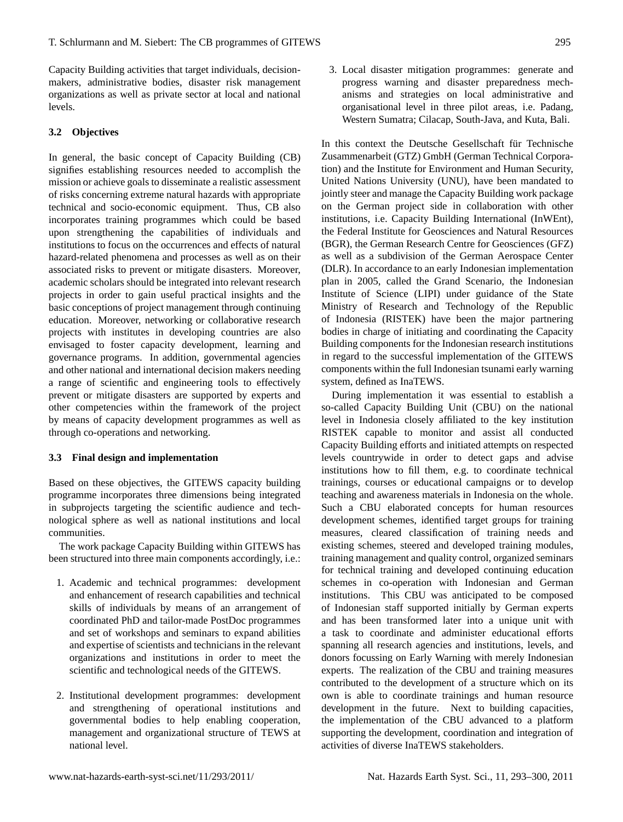Capacity Building activities that target individuals, decisionmakers, administrative bodies, disaster risk management organizations as well as private sector at local and national levels.

#### **3.2 Objectives**

In general, the basic concept of Capacity Building (CB) signifies establishing resources needed to accomplish the mission or achieve goals to disseminate a realistic assessment of risks concerning extreme natural hazards with appropriate technical and socio-economic equipment. Thus, CB also incorporates training programmes which could be based upon strengthening the capabilities of individuals and institutions to focus on the occurrences and effects of natural hazard-related phenomena and processes as well as on their associated risks to prevent or mitigate disasters. Moreover, academic scholars should be integrated into relevant research projects in order to gain useful practical insights and the basic conceptions of project management through continuing education. Moreover, networking or collaborative research projects with institutes in developing countries are also envisaged to foster capacity development, learning and governance programs. In addition, governmental agencies and other national and international decision makers needing a range of scientific and engineering tools to effectively prevent or mitigate disasters are supported by experts and other competencies within the framework of the project by means of capacity development programmes as well as through co-operations and networking.

## **3.3 Final design and implementation**

Based on these objectives, the GITEWS capacity building programme incorporates three dimensions being integrated in subprojects targeting the scientific audience and technological sphere as well as national institutions and local communities.

The work package Capacity Building within GITEWS has been structured into three main components accordingly, i.e.:

- 1. Academic and technical programmes: development and enhancement of research capabilities and technical skills of individuals by means of an arrangement of coordinated PhD and tailor-made PostDoc programmes and set of workshops and seminars to expand abilities and expertise of scientists and technicians in the relevant organizations and institutions in order to meet the scientific and technological needs of the GITEWS.
- 2. Institutional development programmes: development and strengthening of operational institutions and governmental bodies to help enabling cooperation, management and organizational structure of TEWS at national level.

3. Local disaster mitigation programmes: generate and progress warning and disaster preparedness mechanisms and strategies on local administrative and organisational level in three pilot areas, i.e. Padang, Western Sumatra; Cilacap, South-Java, and Kuta, Bali.

In this context the Deutsche Gesellschaft für Technische Zusammenarbeit (GTZ) GmbH (German Technical Corporation) and the Institute for Environment and Human Security, United Nations University (UNU), have been mandated to jointly steer and manage the Capacity Building work package on the German project side in collaboration with other institutions, i.e. Capacity Building International (InWEnt), the Federal Institute for Geosciences and Natural Resources (BGR), the German Research Centre for Geosciences (GFZ) as well as a subdivision of the German Aerospace Center (DLR). In accordance to an early Indonesian implementation plan in 2005, called the Grand Scenario, the Indonesian Institute of Science (LIPI) under guidance of the State Ministry of Research and Technology of the Republic of Indonesia (RISTEK) have been the major partnering bodies in charge of initiating and coordinating the Capacity Building components for the Indonesian research institutions in regard to the successful implementation of the GITEWS components within the full Indonesian tsunami early warning system, defined as InaTEWS.

During implementation it was essential to establish a so-called Capacity Building Unit (CBU) on the national level in Indonesia closely affiliated to the key institution RISTEK capable to monitor and assist all conducted Capacity Building efforts and initiated attempts on respected levels countrywide in order to detect gaps and advise institutions how to fill them, e.g. to coordinate technical trainings, courses or educational campaigns or to develop teaching and awareness materials in Indonesia on the whole. Such a CBU elaborated concepts for human resources development schemes, identified target groups for training measures, cleared classification of training needs and existing schemes, steered and developed training modules, training management and quality control, organized seminars for technical training and developed continuing education schemes in co-operation with Indonesian and German institutions. This CBU was anticipated to be composed of Indonesian staff supported initially by German experts and has been transformed later into a unique unit with a task to coordinate and administer educational efforts spanning all research agencies and institutions, levels, and donors focussing on Early Warning with merely Indonesian experts. The realization of the CBU and training measures contributed to the development of a structure which on its own is able to coordinate trainings and human resource development in the future. Next to building capacities, the implementation of the CBU advanced to a platform supporting the development, coordination and integration of activities of diverse InaTEWS stakeholders.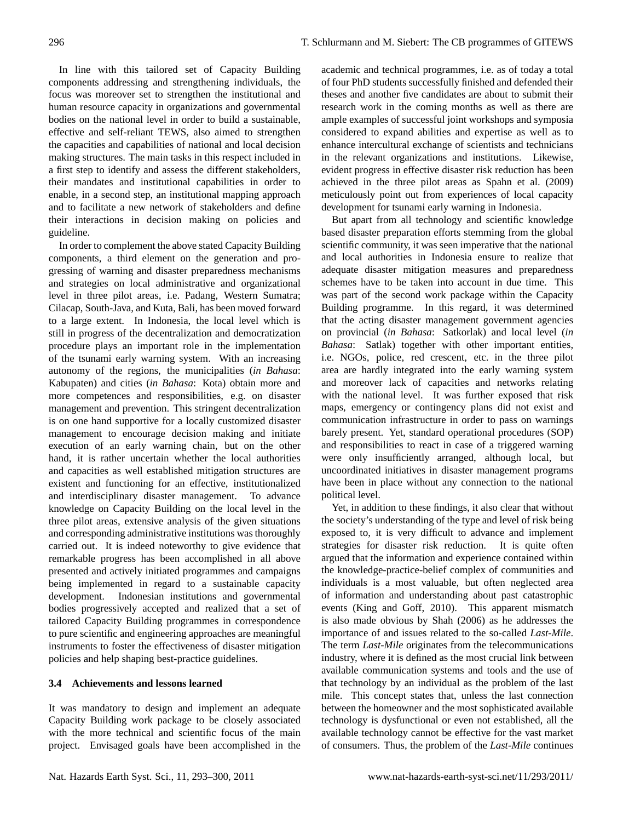In line with this tailored set of Capacity Building components addressing and strengthening individuals, the focus was moreover set to strengthen the institutional and human resource capacity in organizations and governmental bodies on the national level in order to build a sustainable, effective and self-reliant TEWS, also aimed to strengthen the capacities and capabilities of national and local decision making structures. The main tasks in this respect included in a first step to identify and assess the different stakeholders, their mandates and institutional capabilities in order to enable, in a second step, an institutional mapping approach and to facilitate a new network of stakeholders and define their interactions in decision making on policies and guideline.

In order to complement the above stated Capacity Building components, a third element on the generation and progressing of warning and disaster preparedness mechanisms and strategies on local administrative and organizational level in three pilot areas, i.e. Padang, Western Sumatra; Cilacap, South-Java, and Kuta, Bali, has been moved forward to a large extent. In Indonesia, the local level which is still in progress of the decentralization and democratization procedure plays an important role in the implementation of the tsunami early warning system. With an increasing autonomy of the regions, the municipalities (*in Bahasa*: Kabupaten) and cities (*in Bahasa*: Kota) obtain more and more competences and responsibilities, e.g. on disaster management and prevention. This stringent decentralization is on one hand supportive for a locally customized disaster management to encourage decision making and initiate execution of an early warning chain, but on the other hand, it is rather uncertain whether the local authorities and capacities as well established mitigation structures are existent and functioning for an effective, institutionalized and interdisciplinary disaster management. To advance knowledge on Capacity Building on the local level in the three pilot areas, extensive analysis of the given situations and corresponding administrative institutions was thoroughly carried out. It is indeed noteworthy to give evidence that remarkable progress has been accomplished in all above presented and actively initiated programmes and campaigns being implemented in regard to a sustainable capacity development. Indonesian institutions and governmental bodies progressively accepted and realized that a set of tailored Capacity Building programmes in correspondence to pure scientific and engineering approaches are meaningful instruments to foster the effectiveness of disaster mitigation policies and help shaping best-practice guidelines.

# **3.4 Achievements and lessons learned**

It was mandatory to design and implement an adequate Capacity Building work package to be closely associated with the more technical and scientific focus of the main project. Envisaged goals have been accomplished in the

academic and technical programmes, i.e. as of today a total of four PhD students successfully finished and defended their theses and another five candidates are about to submit their research work in the coming months as well as there are ample examples of successful joint workshops and symposia considered to expand abilities and expertise as well as to enhance intercultural exchange of scientists and technicians in the relevant organizations and institutions. Likewise, evident progress in effective disaster risk reduction has been achieved in the three pilot areas as Spahn et al. (2009) meticulously point out from experiences of local capacity development for tsunami early warning in Indonesia.

But apart from all technology and scientific knowledge based disaster preparation efforts stemming from the global scientific community, it was seen imperative that the national and local authorities in Indonesia ensure to realize that adequate disaster mitigation measures and preparedness schemes have to be taken into account in due time. This was part of the second work package within the Capacity Building programme. In this regard, it was determined that the acting disaster management government agencies on provincial (*in Bahasa*: Satkorlak) and local level (*in Bahasa*: Satlak) together with other important entities, i.e. NGOs, police, red crescent, etc. in the three pilot area are hardly integrated into the early warning system and moreover lack of capacities and networks relating with the national level. It was further exposed that risk maps, emergency or contingency plans did not exist and communication infrastructure in order to pass on warnings barely present. Yet, standard operational procedures (SOP) and responsibilities to react in case of a triggered warning were only insufficiently arranged, although local, but uncoordinated initiatives in disaster management programs have been in place without any connection to the national political level.

Yet, in addition to these findings, it also clear that without the society's understanding of the type and level of risk being exposed to, it is very difficult to advance and implement strategies for disaster risk reduction. It is quite often argued that the information and experience contained within the knowledge-practice-belief complex of communities and individuals is a most valuable, but often neglected area of information and understanding about past catastrophic events (King and Goff, 2010). This apparent mismatch is also made obvious by Shah (2006) as he addresses the importance of and issues related to the so-called *Last-Mile*. The term *Last-Mile* originates from the telecommunications industry, where it is defined as the most crucial link between available communication systems and tools and the use of that technology by an individual as the problem of the last mile. This concept states that, unless the last connection between the homeowner and the most sophisticated available technology is dysfunctional or even not established, all the available technology cannot be effective for the vast market of consumers. Thus, the problem of the *Last-Mile* continues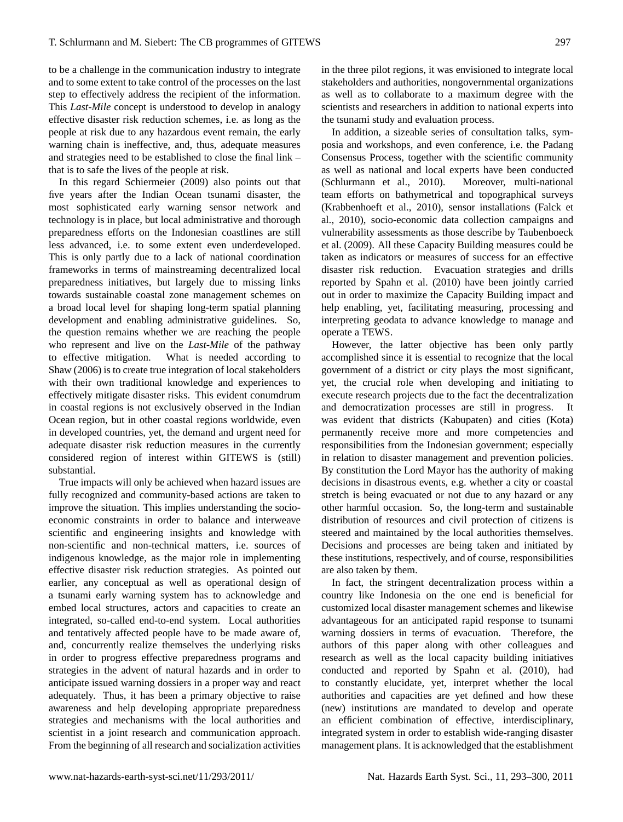to be a challenge in the communication industry to integrate and to some extent to take control of the processes on the last step to effectively address the recipient of the information. This *Last-Mile* concept is understood to develop in analogy effective disaster risk reduction schemes, i.e. as long as the people at risk due to any hazardous event remain, the early warning chain is ineffective, and, thus, adequate measures and strategies need to be established to close the final link – that is to safe the lives of the people at risk.

In this regard Schiermeier (2009) also points out that five years after the Indian Ocean tsunami disaster, the most sophisticated early warning sensor network and technology is in place, but local administrative and thorough preparedness efforts on the Indonesian coastlines are still less advanced, i.e. to some extent even underdeveloped. This is only partly due to a lack of national coordination frameworks in terms of mainstreaming decentralized local preparedness initiatives, but largely due to missing links towards sustainable coastal zone management schemes on a broad local level for shaping long-term spatial planning development and enabling administrative guidelines. So, the question remains whether we are reaching the people who represent and live on the *Last-Mile* of the pathway to effective mitigation. What is needed according to Shaw (2006) is to create true integration of local stakeholders with their own traditional knowledge and experiences to effectively mitigate disaster risks. This evident conumdrum in coastal regions is not exclusively observed in the Indian Ocean region, but in other coastal regions worldwide, even in developed countries, yet, the demand and urgent need for adequate disaster risk reduction measures in the currently considered region of interest within GITEWS is (still) substantial.

True impacts will only be achieved when hazard issues are fully recognized and community-based actions are taken to improve the situation. This implies understanding the socioeconomic constraints in order to balance and interweave scientific and engineering insights and knowledge with non-scientific and non-technical matters, i.e. sources of indigenous knowledge, as the major role in implementing effective disaster risk reduction strategies. As pointed out earlier, any conceptual as well as operational design of a tsunami early warning system has to acknowledge and embed local structures, actors and capacities to create an integrated, so-called end-to-end system. Local authorities and tentatively affected people have to be made aware of, and, concurrently realize themselves the underlying risks in order to progress effective preparedness programs and strategies in the advent of natural hazards and in order to anticipate issued warning dossiers in a proper way and react adequately. Thus, it has been a primary objective to raise awareness and help developing appropriate preparedness strategies and mechanisms with the local authorities and scientist in a joint research and communication approach. From the beginning of all research and socialization activities

in the three pilot regions, it was envisioned to integrate local stakeholders and authorities, nongovernmental organizations as well as to collaborate to a maximum degree with the scientists and researchers in addition to national experts into the tsunami study and evaluation process.

In addition, a sizeable series of consultation talks, symposia and workshops, and even conference, i.e. the Padang Consensus Process, together with the scientific community as well as national and local experts have been conducted (Schlurmann et al., 2010). Moreover, multi-national team efforts on bathymetrical and topographical surveys (Krabbenhoeft et al., 2010), sensor installations (Falck et al., 2010), socio-economic data collection campaigns and vulnerability assessments as those describe by Taubenboeck et al. (2009). All these Capacity Building measures could be taken as indicators or measures of success for an effective disaster risk reduction. Evacuation strategies and drills reported by Spahn et al. (2010) have been jointly carried out in order to maximize the Capacity Building impact and help enabling, yet, facilitating measuring, processing and interpreting geodata to advance knowledge to manage and operate a TEWS.

However, the latter objective has been only partly accomplished since it is essential to recognize that the local government of a district or city plays the most significant, yet, the crucial role when developing and initiating to execute research projects due to the fact the decentralization and democratization processes are still in progress. It was evident that districts (Kabupaten) and cities (Kota) permanently receive more and more competencies and responsibilities from the Indonesian government; especially in relation to disaster management and prevention policies. By constitution the Lord Mayor has the authority of making decisions in disastrous events, e.g. whether a city or coastal stretch is being evacuated or not due to any hazard or any other harmful occasion. So, the long-term and sustainable distribution of resources and civil protection of citizens is steered and maintained by the local authorities themselves. Decisions and processes are being taken and initiated by these institutions, respectively, and of course, responsibilities are also taken by them.

In fact, the stringent decentralization process within a country like Indonesia on the one end is beneficial for customized local disaster management schemes and likewise advantageous for an anticipated rapid response to tsunami warning dossiers in terms of evacuation. Therefore, the authors of this paper along with other colleagues and research as well as the local capacity building initiatives conducted and reported by Spahn et al. (2010), had to constantly elucidate, yet, interpret whether the local authorities and capacities are yet defined and how these (new) institutions are mandated to develop and operate an efficient combination of effective, interdisciplinary, integrated system in order to establish wide-ranging disaster management plans. It is acknowledged that the establishment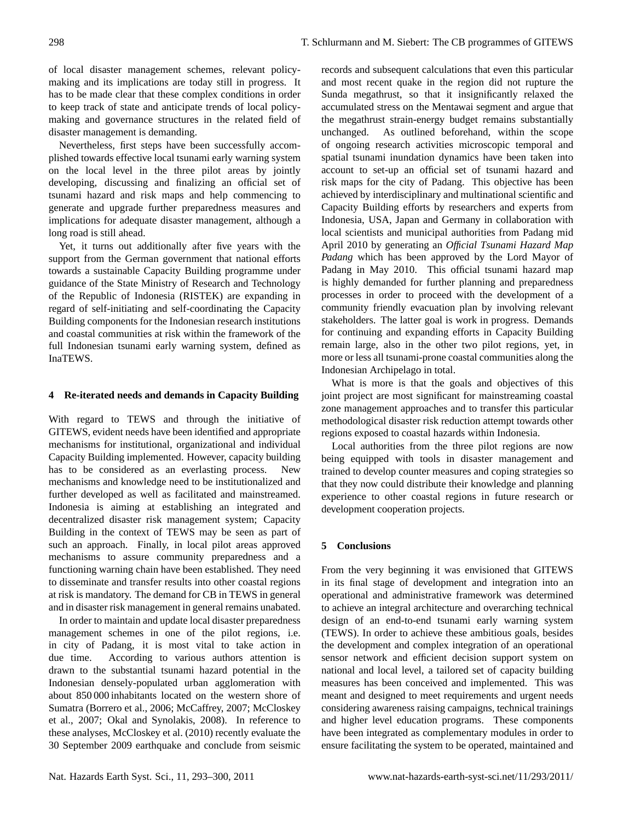of local disaster management schemes, relevant policymaking and its implications are today still in progress. It has to be made clear that these complex conditions in order to keep track of state and anticipate trends of local policymaking and governance structures in the related field of disaster management is demanding.

Nevertheless, first steps have been successfully accomplished towards effective local tsunami early warning system on the local level in the three pilot areas by jointly developing, discussing and finalizing an official set of tsunami hazard and risk maps and help commencing to generate and upgrade further preparedness measures and implications for adequate disaster management, although a long road is still ahead.

Yet, it turns out additionally after five years with the support from the German government that national efforts towards a sustainable Capacity Building programme under guidance of the State Ministry of Research and Technology of the Republic of Indonesia (RISTEK) are expanding in regard of self-initiating and self-coordinating the Capacity Building components for the Indonesian research institutions and coastal communities at risk within the framework of the full Indonesian tsunami early warning system, defined as InaTEWS.

#### **4 Re-iterated needs and demands in Capacity Building**

With regard to TEWS and through the initiative of GITEWS, evident needs have been identified and appropriate mechanisms for institutional, organizational and individual Capacity Building implemented. However, capacity building has to be considered as an everlasting process. New mechanisms and knowledge need to be institutionalized and further developed as well as facilitated and mainstreamed. Indonesia is aiming at establishing an integrated and decentralized disaster risk management system; Capacity Building in the context of TEWS may be seen as part of such an approach. Finally, in local pilot areas approved mechanisms to assure community preparedness and a functioning warning chain have been established. They need to disseminate and transfer results into other coastal regions at risk is mandatory. The demand for CB in TEWS in general and in disaster risk management in general remains unabated.

In order to maintain and update local disaster preparedness management schemes in one of the pilot regions, i.e. in city of Padang, it is most vital to take action in due time. According to various authors attention is drawn to the substantial tsunami hazard potential in the Indonesian densely-populated urban agglomeration with about 850 000 inhabitants located on the western shore of Sumatra (Borrero et al., 2006; McCaffrey, 2007; McCloskey et al., 2007; Okal and Synolakis, 2008). In reference to these analyses, McCloskey et al. (2010) recently evaluate the 30 September 2009 earthquake and conclude from seismic records and subsequent calculations that even this particular and most recent quake in the region did not rupture the Sunda megathrust, so that it insignificantly relaxed the accumulated stress on the Mentawai segment and argue that the megathrust strain-energy budget remains substantially unchanged. As outlined beforehand, within the scope of ongoing research activities microscopic temporal and spatial tsunami inundation dynamics have been taken into account to set-up an official set of tsunami hazard and risk maps for the city of Padang. This objective has been achieved by interdisciplinary and multinational scientific and Capacity Building efforts by researchers and experts from Indonesia, USA, Japan and Germany in collaboration with local scientists and municipal authorities from Padang mid April 2010 by generating an *Official Tsunami Hazard Map Padang* which has been approved by the Lord Mayor of Padang in May 2010. This official tsunami hazard map is highly demanded for further planning and preparedness processes in order to proceed with the development of a community friendly evacuation plan by involving relevant stakeholders. The latter goal is work in progress. Demands for continuing and expanding efforts in Capacity Building remain large, also in the other two pilot regions, yet, in more or less all tsunami-prone coastal communities along the Indonesian Archipelago in total.

What is more is that the goals and objectives of this joint project are most significant for mainstreaming coastal zone management approaches and to transfer this particular methodological disaster risk reduction attempt towards other regions exposed to coastal hazards within Indonesia.

Local authorities from the three pilot regions are now being equipped with tools in disaster management and trained to develop counter measures and coping strategies so that they now could distribute their knowledge and planning experience to other coastal regions in future research or development cooperation projects.

#### **5 Conclusions**

From the very beginning it was envisioned that GITEWS in its final stage of development and integration into an operational and administrative framework was determined to achieve an integral architecture and overarching technical design of an end-to-end tsunami early warning system (TEWS). In order to achieve these ambitious goals, besides the development and complex integration of an operational sensor network and efficient decision support system on national and local level, a tailored set of capacity building measures has been conceived and implemented. This was meant and designed to meet requirements and urgent needs considering awareness raising campaigns, technical trainings and higher level education programs. These components have been integrated as complementary modules in order to ensure facilitating the system to be operated, maintained and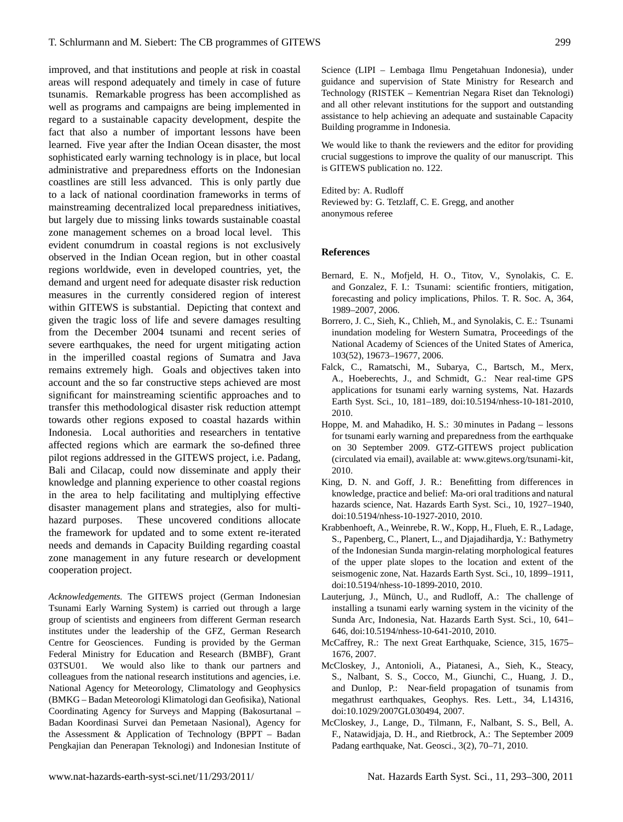improved, and that institutions and people at risk in coastal areas will respond adequately and timely in case of future tsunamis. Remarkable progress has been accomplished as well as programs and campaigns are being implemented in regard to a sustainable capacity development, despite the fact that also a number of important lessons have been learned. Five year after the Indian Ocean disaster, the most sophisticated early warning technology is in place, but local administrative and preparedness efforts on the Indonesian coastlines are still less advanced. This is only partly due to a lack of national coordination frameworks in terms of mainstreaming decentralized local preparedness initiatives, but largely due to missing links towards sustainable coastal zone management schemes on a broad local level. This evident conumdrum in coastal regions is not exclusively observed in the Indian Ocean region, but in other coastal regions worldwide, even in developed countries, yet, the demand and urgent need for adequate disaster risk reduction measures in the currently considered region of interest within GITEWS is substantial. Depicting that context and given the tragic loss of life and severe damages resulting from the December 2004 tsunami and recent series of severe earthquakes, the need for urgent mitigating action in the imperilled coastal regions of Sumatra and Java remains extremely high. Goals and objectives taken into account and the so far constructive steps achieved are most significant for mainstreaming scientific approaches and to transfer this methodological disaster risk reduction attempt towards other regions exposed to coastal hazards within Indonesia. Local authorities and researchers in tentative affected regions which are earmark the so-defined three pilot regions addressed in the GITEWS project, i.e. Padang, Bali and Cilacap, could now disseminate and apply their knowledge and planning experience to other coastal regions in the area to help facilitating and multiplying effective disaster management plans and strategies, also for multihazard purposes. These uncovered conditions allocate the framework for updated and to some extent re-iterated needs and demands in Capacity Building regarding coastal zone management in any future research or development cooperation project.

*Acknowledgements.* The GITEWS project (German Indonesian Tsunami Early Warning System) is carried out through a large group of scientists and engineers from different German research institutes under the leadership of the GFZ, German Research Centre for Geosciences. Funding is provided by the German Federal Ministry for Education and Research (BMBF), Grant 03TSU01. We would also like to thank our partners and colleagues from the national research institutions and agencies, i.e. National Agency for Meteorology, Climatology and Geophysics (BMKG – Badan Meteorologi Klimatologi dan Geofisika), National Coordinating Agency for Surveys and Mapping (Bakosurtanal – Badan Koordinasi Survei dan Pemetaan Nasional), Agency for the Assessment & Application of Technology (BPPT – Badan Pengkajian dan Penerapan Teknologi) and Indonesian Institute of Science (LIPI – Lembaga Ilmu Pengetahuan Indonesia), under guidance and supervision of State Ministry for Research and Technology (RISTEK – Kementrian Negara Riset dan Teknologi) and all other relevant institutions for the support and outstanding assistance to help achieving an adequate and sustainable Capacity Building programme in Indonesia.

We would like to thank the reviewers and the editor for providing crucial suggestions to improve the quality of our manuscript. This is GITEWS publication no. 122.

Edited by: A. Rudloff

Reviewed by: G. Tetzlaff, C. E. Gregg, and another anonymous referee

# **References**

- Bernard, E. N., Mofjeld, H. O., Titov, V., Synolakis, C. E. and Gonzalez, F. I.: Tsunami: scientific frontiers, mitigation, forecasting and policy implications, Philos. T. R. Soc. A, 364, 1989–2007, 2006.
- Borrero, J. C., Sieh, K., Chlieh, M., and Synolakis, C. E.: Tsunami inundation modeling for Western Sumatra, Proceedings of the National Academy of Sciences of the United States of America, 103(52), 19673–19677, 2006.
- Falck, C., Ramatschi, M., Subarya, C., Bartsch, M., Merx, A., Hoeberechts, J., and Schmidt, G.: Near real-time GPS applications for tsunami early warning systems, Nat. Hazards Earth Syst. Sci., 10, 181–189, doi:10.5194/nhess-10-181-2010, 2010.
- Hoppe, M. and Mahadiko, H. S.: 30 minutes in Padang lessons for tsunami early warning and preparedness from the earthquake on 30 September 2009. GTZ-GITEWS project publication (circulated via email), available at: [www.gitews.org/tsunami-kit,](www.gitews.org/tsunami-kit) 2010.
- King, D. N. and Goff, J. R.: Benefitting from differences in knowledge, practice and belief: Ma-ori oral traditions and natural hazards science, Nat. Hazards Earth Syst. Sci., 10, 1927–1940, doi:10.5194/nhess-10-1927-2010, 2010.
- Krabbenhoeft, A., Weinrebe, R. W., Kopp, H., Flueh, E. R., Ladage, S., Papenberg, C., Planert, L., and Djajadihardja, Y.: Bathymetry of the Indonesian Sunda margin-relating morphological features of the upper plate slopes to the location and extent of the seismogenic zone, Nat. Hazards Earth Syst. Sci., 10, 1899–1911, doi:10.5194/nhess-10-1899-2010, 2010.
- Lauterjung, J., Münch, U., and Rudloff, A.: The challenge of installing a tsunami early warning system in the vicinity of the Sunda Arc, Indonesia, Nat. Hazards Earth Syst. Sci., 10, 641– 646, doi:10.5194/nhess-10-641-2010, 2010.
- McCaffrey, R.: The next Great Earthquake, Science, 315, 1675– 1676, 2007.
- McCloskey, J., Antonioli, A., Piatanesi, A., Sieh, K., Steacy, S., Nalbant, S. S., Cocco, M., Giunchi, C., Huang, J. D., and Dunlop, P.: Near-field propagation of tsunamis from megathrust earthquakes, Geophys. Res. Lett., 34, L14316, doi:10.1029/2007GL030494, 2007.
- McCloskey, J., Lange, D., Tilmann, F., Nalbant, S. S., Bell, A. F., Natawidjaja, D. H., and Rietbrock, A.: The September 2009 Padang earthquake, Nat. Geosci., 3(2), 70–71, 2010.